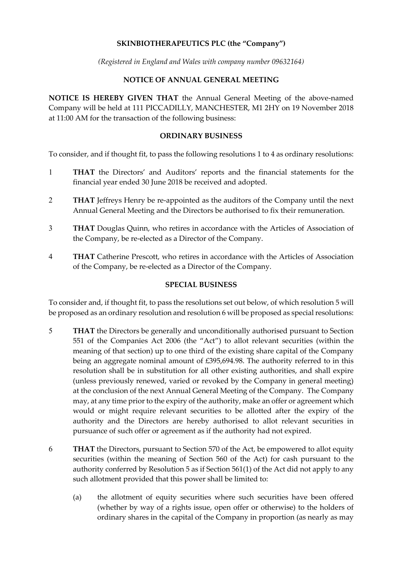# **SKINBIOTHERAPEUTICS PLC (the "Company")**

*(Registered in England and Wales with company number 09632164)*

# **NOTICE OF ANNUAL GENERAL MEETING**

**NOTICE IS HEREBY GIVEN THAT** the Annual General Meeting of the above-named Company will be held at 111 PICCADILLY, MANCHESTER, M1 2HY on 19 November 2018 at 11:00 AM for the transaction of the following business:

#### **ORDINARY BUSINESS**

To consider, and if thought fit, to pass the following resolutions 1 to 4 as ordinary resolutions:

- 1 **THAT** the Directors' and Auditors' reports and the financial statements for the financial year ended 30 June 2018 be received and adopted.
- 2 **THAT** Jeffreys Henry be re-appointed as the auditors of the Company until the next Annual General Meeting and the Directors be authorised to fix their remuneration.
- 3 **THAT** Douglas Quinn, who retires in accordance with the Articles of Association of the Company, be re-elected as a Director of the Company.
- 4 **THAT** Catherine Prescott, who retires in accordance with the Articles of Association of the Company, be re-elected as a Director of the Company.

# **SPECIAL BUSINESS**

To consider and, if thought fit, to pass the resolutions set out below, of which resolution 5 will be proposed as an ordinary resolution and resolution 6 will be proposed as special resolutions:

- 5 **THAT** the Directors be generally and unconditionally authorised pursuant to Section 551 of the Companies Act 2006 (the "Act") to allot relevant securities (within the meaning of that section) up to one third of the existing share capital of the Company being an aggregate nominal amount of £395,694.98. The authority referred to in this resolution shall be in substitution for all other existing authorities, and shall expire (unless previously renewed, varied or revoked by the Company in general meeting) at the conclusion of the next Annual General Meeting of the Company. The Company may, at any time prior to the expiry of the authority, make an offer or agreement which would or might require relevant securities to be allotted after the expiry of the authority and the Directors are hereby authorised to allot relevant securities in pursuance of such offer or agreement as if the authority had not expired.
- 6 **THAT** the Directors, pursuant to Section 570 of the Act, be empowered to allot equity securities (within the meaning of Section 560 of the Act) for cash pursuant to the authority conferred by Resolution 5 as if Section 561(1) of the Act did not apply to any such allotment provided that this power shall be limited to:
	- (a) the allotment of equity securities where such securities have been offered (whether by way of a rights issue, open offer or otherwise) to the holders of ordinary shares in the capital of the Company in proportion (as nearly as may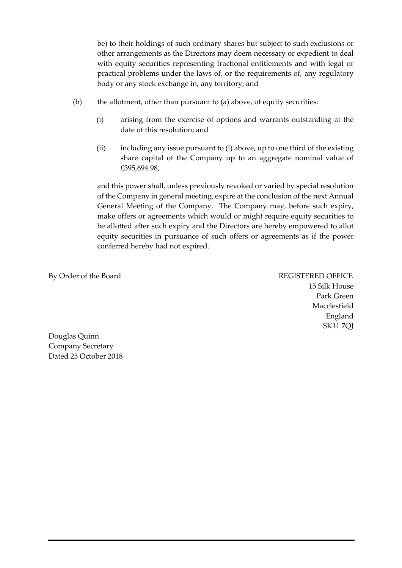be) to their holdings of such ordinary shares but subject to such exclusions or other arrangements as the Directors may deem necessary or expedient to deal with equity securities representing fractional entitlements and with legal or practical problems under the laws of, or the requirements of, any regulatory body or any stock exchange in, any territory; and

- (b) the allotment, other than pursuant to (a) above, of equity securities:
	- (i) arising from the exercise of options and warrants outstanding at the date of this resolution; and
	- (ii) including any issue pursuant to (i) above, up to one third of the existing share capital of the Company up to an aggregate nominal value of £395,694.98,

and this power shall, unless previously revoked or varied by special resolution of the Company in general meeting, expire at the conclusion of the next Annual General Meeting of the Company. The Company may, before such expiry, make offers or agreements which would or might require equity securities to be allotted after such expiry and the Directors are hereby empowered to allot equity securities in pursuance of such offers or agreements as if the power conferred hereby had not expired.

By Order of the Board REGISTERED OFFICE

15 Silk House Park Green Macclesfield England SK11 7QJ

Douglas Quinn Company Secretary Dated 25 October 2018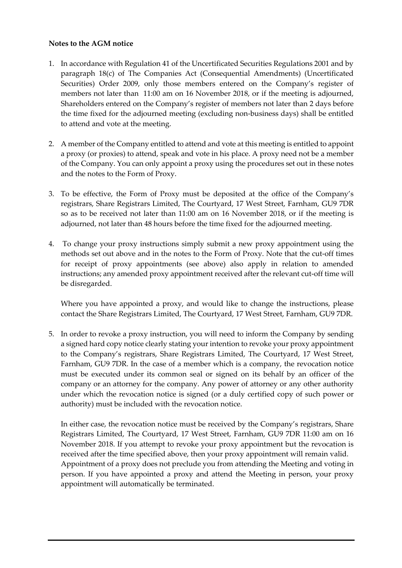### **Notes to the AGM notice**

- 1. In accordance with Regulation 41 of the Uncertificated Securities Regulations 2001 and by paragraph 18(c) of The Companies Act (Consequential Amendments) (Uncertificated Securities) Order 2009, only those members entered on the Company's register of members not later than 11:00 am on 16 November 2018, or if the meeting is adjourned, Shareholders entered on the Company's register of members not later than 2 days before the time fixed for the adjourned meeting (excluding non-business days) shall be entitled to attend and vote at the meeting.
- 2. A member of the Company entitled to attend and vote at this meeting is entitled to appoint a proxy (or proxies) to attend, speak and vote in his place. A proxy need not be a member of the Company. You can only appoint a proxy using the procedures set out in these notes and the notes to the Form of Proxy.
- 3. To be effective, the Form of Proxy must be deposited at the office of the Company's registrars, Share Registrars Limited, The Courtyard, 17 West Street, Farnham, GU9 7DR so as to be received not later than 11:00 am on 16 November 2018, or if the meeting is adjourned, not later than 48 hours before the time fixed for the adjourned meeting.
- 4. To change your proxy instructions simply submit a new proxy appointment using the methods set out above and in the notes to the Form of Proxy. Note that the cut-off times for receipt of proxy appointments (see above) also apply in relation to amended instructions; any amended proxy appointment received after the relevant cut-off time will be disregarded.

Where you have appointed a proxy, and would like to change the instructions, please contact the Share Registrars Limited, The Courtyard, 17 West Street, Farnham, GU9 7DR.

5. In order to revoke a proxy instruction, you will need to inform the Company by sending a signed hard copy notice clearly stating your intention to revoke your proxy appointment to the Company's registrars, Share Registrars Limited, The Courtyard, 17 West Street, Farnham, GU9 7DR. In the case of a member which is a company, the revocation notice must be executed under its common seal or signed on its behalf by an officer of the company or an attorney for the company. Any power of attorney or any other authority under which the revocation notice is signed (or a duly certified copy of such power or authority) must be included with the revocation notice.

In either case, the revocation notice must be received by the Company's registrars, Share Registrars Limited, The Courtyard, 17 West Street, Farnham, GU9 7DR 11:00 am on 16 November 2018. If you attempt to revoke your proxy appointment but the revocation is received after the time specified above, then your proxy appointment will remain valid. Appointment of a proxy does not preclude you from attending the Meeting and voting in person. If you have appointed a proxy and attend the Meeting in person, your proxy appointment will automatically be terminated.